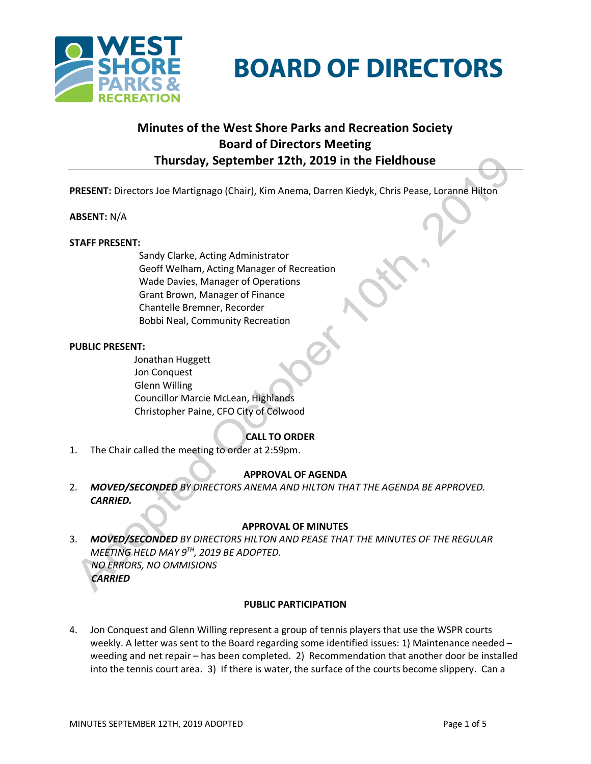

# **BOARD OF DIRECTORS**

# **Minutes of the West Shore Parks and Recreation Society Board of Directors Meeting Thursday, September 12th, 2019 in the Fieldhouse**

**PRESENT:** Directors Joe Martignago (Chair), Kim Anema, Darren Kiedyk, Chris Pease, Loranne Hilton

# **ABSENT:** N/A

# **STAFF PRESENT:**

Sandy Clarke, Acting Administrator Geoff Welham, Acting Manager of Recreation Wade Davies, Manager of Operations Grant Brown, Manager of Finance Chantelle Bremner, Recorder Bobbi Neal, Community Recreation

# **PUBLIC PRESENT:**

Jonathan Huggett Jon Conquest Glenn Willing Councillor Marcie McLean, Highlands Christopher Paine, CFO City of Colwood

# **CALL TO ORDER**

1. The Chair called the meeting to order at 2:59pm.

# **APPROVAL OF AGENDA**

2. *MOVED/SECONDED BY DIRECTORS ANEMA AND HILTON THAT THE AGENDA BE APPROVED. CARRIED.*

# **APPROVAL OF MINUTES**

3. *MOVED/SECONDED BY DIRECTORS HILTON AND PEASE THAT THE MINUTES OF THE REGULAR MEETING HELD MAY 9TH, 2019 BE ADOPTED. NO ERRORS, NO OMMISIONS CARRIED*

# **PUBLIC PARTICIPATION**

4. Jon Conquest and Glenn Willing represent a group of tennis players that use the WSPR courts weekly. A letter was sent to the Board regarding some identified issues: 1) Maintenance needed – weeding and net repair – has been completed. 2) Recommendation that another door be installed into the tennis court area. 3) If there is water, the surface of the courts become slippery. Can a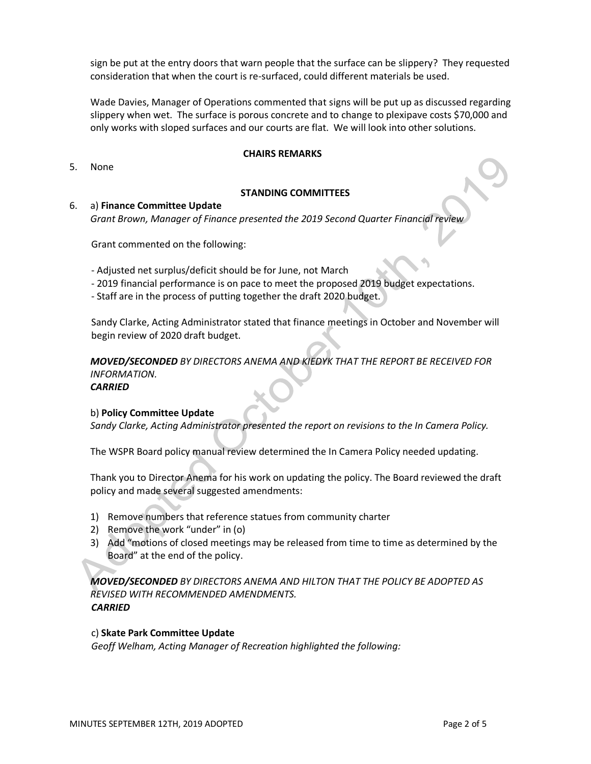sign be put at the entry doors that warn people that the surface can be slippery? They requested consideration that when the court is re-surfaced, could different materials be used.

Wade Davies, Manager of Operations commented that signs will be put up as discussed regarding slippery when wet. The surface is porous concrete and to change to plexipave costs \$70,000 and only works with sloped surfaces and our courts are flat. We will look into other solutions.

#### **CHAIRS REMARKS**

5. None

# **STANDING COMMITTEES**

# 6. a) **Finance Committee Update** *Grant Brown, Manager of Finance presented the 2019 Second Quarter Financial review*

Grant commented on the following:

- Adjusted net surplus/deficit should be for June, not March
- 2019 financial performance is on pace to meet the proposed 2019 budget expectations.
- Staff are in the process of putting together the draft 2020 budget.

Sandy Clarke, Acting Administrator stated that finance meetings in October and November will begin review of 2020 draft budget.

# *MOVED/SECONDED BY DIRECTORS ANEMA AND KIEDYK THAT THE REPORT BE RECEIVED FOR INFORMATION.*

*CARRIED*

#### b) **Policy Committee Update**

*Sandy Clarke, Acting Administrator presented the report on revisions to the In Camera Policy.*

The WSPR Board policy manual review determined the In Camera Policy needed updating.

Thank you to Director Anema for his work on updating the policy. The Board reviewed the draft policy and made several suggested amendments:

- 1) Remove numbers that reference statues from community charter
- 2) Remove the work "under" in (o)
- 3) Add "motions of closed meetings may be released from time to time as determined by the Board" at the end of the policy.

*MOVED/SECONDED BY DIRECTORS ANEMA AND HILTON THAT THE POLICY BE ADOPTED AS REVISED WITH RECOMMENDED AMENDMENTS. CARRIED*

#### c) **Skate Park Committee Update**

*Geoff Welham, Acting Manager of Recreation highlighted the following:*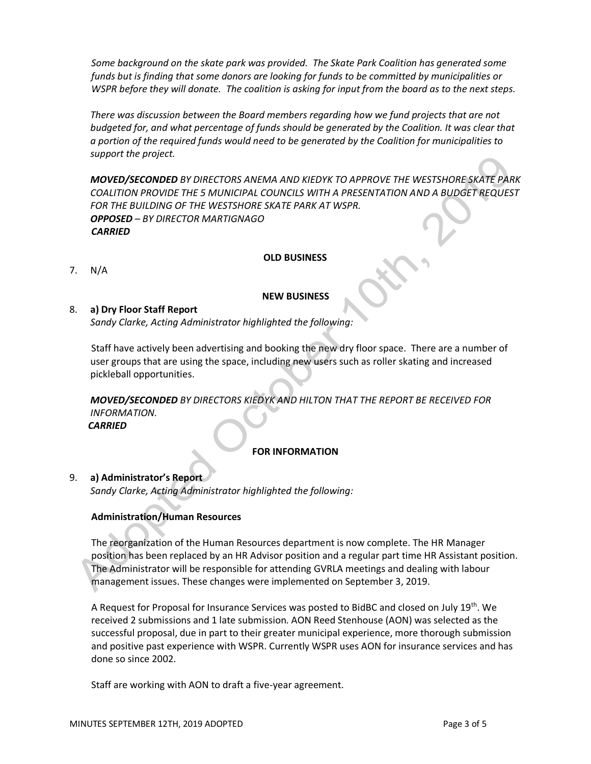*Some background on the skate park was provided. The Skate Park Coalition has generated some funds but is finding that some donors are looking for funds to be committed by municipalities or WSPR before they will donate. The coalition is asking for input from the board as to the next steps.* 

*There was discussion between the Board members regarding how we fund projects that are not budgeted for, and what percentage of funds should be generated by the Coalition. It was clear that a portion of the required funds would need to be generated by the Coalition for municipalities to support the project.* 

*MOVED/SECONDED BY DIRECTORS ANEMA AND KIEDYK TO APPROVE THE WESTSHORE SKATE PARK COALITION PROVIDE THE 5 MUNICIPAL COUNCILS WITH A PRESENTATION AND A BUDGET REQUEST FOR THE BUILDING OF THE WESTSHORE SKATE PARK AT WSPR. OPPOSED – BY DIRECTOR MARTIGNAGO CARRIED*

#### **OLD BUSINESS**

7. N/A

#### **NEW BUSINESS**

#### 8. **a) Dry Floor Staff Report**

*Sandy Clarke, Acting Administrator highlighted the following:*

Staff have actively been advertising and booking the new dry floor space. There are a number of user groups that are using the space, including new users such as roller skating and increased pickleball opportunities.

*MOVED/SECONDED BY DIRECTORS KIEDYK AND HILTON THAT THE REPORT BE RECEIVED FOR INFORMATION. CARRIED*

#### **FOR INFORMATION**

# 9. **a) Administrator's Report**

*Sandy Clarke, Acting Administrator highlighted the following:*

# **Administration/Human Resources**

The reorganization of the Human Resources department is now complete. The HR Manager position has been replaced by an HR Advisor position and a regular part time HR Assistant position. The Administrator will be responsible for attending GVRLA meetings and dealing with labour management issues. These changes were implemented on September 3, 2019.

A Request for Proposal for Insurance Services was posted to BidBC and closed on July 19th. We received 2 submissions and 1 late submission. AON Reed Stenhouse (AON) was selected as the successful proposal, due in part to their greater municipal experience, more thorough submission and positive past experience with WSPR. Currently WSPR uses AON for insurance services and has done so since 2002.

Staff are working with AON to draft a five-year agreement.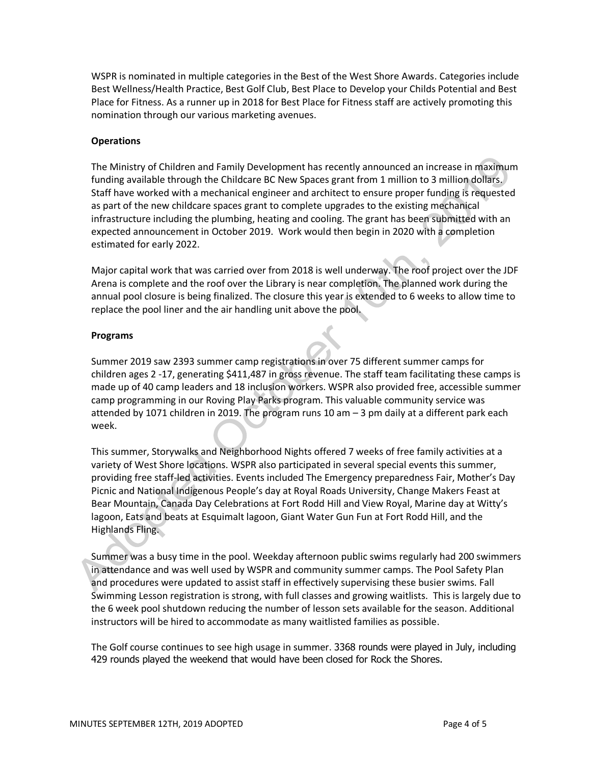WSPR is nominated in multiple categories in the Best of the West Shore Awards. Categories include Best Wellness/Health Practice, Best Golf Club, Best Place to Develop your Childs Potential and Best Place for Fitness. As a runner up in 2018 for Best Place for Fitness staff are actively promoting this nomination through our various marketing avenues.

# **Operations**

The Ministry of Children and Family Development has recently announced an increase in maximum funding available through the Childcare BC New Spaces grant from 1 million to 3 million dollars. Staff have worked with a mechanical engineer and architect to ensure proper funding is requested as part of the new childcare spaces grant to complete upgrades to the existing mechanical infrastructure including the plumbing, heating and cooling. The grant has been submitted with an expected announcement in October 2019. Work would then begin in 2020 with a completion estimated for early 2022.

Major capital work that was carried over from 2018 is well underway. The roof project over the JDF Arena is complete and the roof over the Library is near completion. The planned work during the annual pool closure is being finalized. The closure this year is extended to 6 weeks to allow time to replace the pool liner and the air handling unit above the pool.

# **Programs**

Summer 2019 saw 2393 summer camp registrations in over 75 different summer camps for children ages 2 -17, generating \$411,487 in gross revenue. The staff team facilitating these camps is made up of 40 camp leaders and 18 inclusion workers. WSPR also provided free, accessible summer camp programming in our Roving Play Parks program. This valuable community service was attended by 1071 children in 2019. The program runs 10 am – 3 pm daily at a different park each week.

This summer, Storywalks and Neighborhood Nights offered 7 weeks of free family activities at a variety of West Shore locations. WSPR also participated in several special events this summer, providing free staff-led activities. Events included The Emergency preparedness Fair, Mother's Day Picnic and National Indigenous People's day at Royal Roads University, Change Makers Feast at Bear Mountain, Canada Day Celebrations at Fort Rodd Hill and View Royal, Marine day at Witty's lagoon, Eats and beats at Esquimalt lagoon, Giant Water Gun Fun at Fort Rodd Hill, and the Highlands Fling.

Summer was a busy time in the pool. Weekday afternoon public swims regularly had 200 swimmers in attendance and was well used by WSPR and community summer camps. The Pool Safety Plan and procedures were updated to assist staff in effectively supervising these busier swims. Fall Swimming Lesson registration is strong, with full classes and growing waitlists. This is largely due to the 6 week pool shutdown reducing the number of lesson sets available for the season. Additional instructors will be hired to accommodate as many waitlisted families as possible.

The Golf course continues to see high usage in summer. 3368 rounds were played in July, including 429 rounds played the weekend that would have been closed for Rock the Shores.